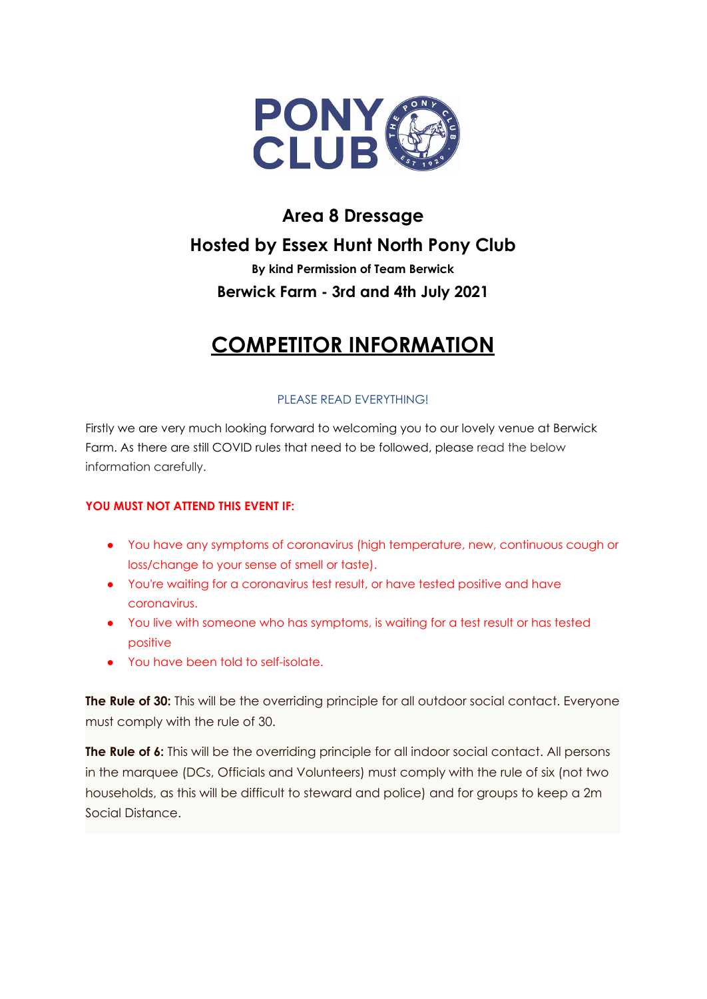

## **Area 8 Dressage Hosted by Essex Hunt North Pony Club**

## **By kind Permission of Team Berwick Berwick Farm - 3rd and 4th July 2021**

# **COMPETITOR INFORMATION**

## PLEASE READ EVERYTHING!

Firstly we are very much looking forward to welcoming you to our lovely venue at Berwick Farm. As there are still COVID rules that need to be followed, please read the below information carefully.

### **YOU MUST NOT ATTEND THIS EVENT IF:**

- You have any symptoms of coronavirus (high temperature, new, continuous cough or loss/change to your sense of smell or taste).
- You're waiting for a coronavirus test result, or have tested positive and have coronavirus.
- You live with someone who has symptoms, is waiting for a test result or has tested positive
- You have been told to self-isolate.

**The Rule of 30:** This will be the overriding principle for all outdoor social contact. Everyone must comply with the rule of 30.

**The Rule of 6:** This will be the overriding principle for all indoor social contact. All persons in the marquee (DCs, Officials and Volunteers) must comply with the rule of six (not two households, as this will be difficult to steward and police) and for groups to keep a 2m Social Distance.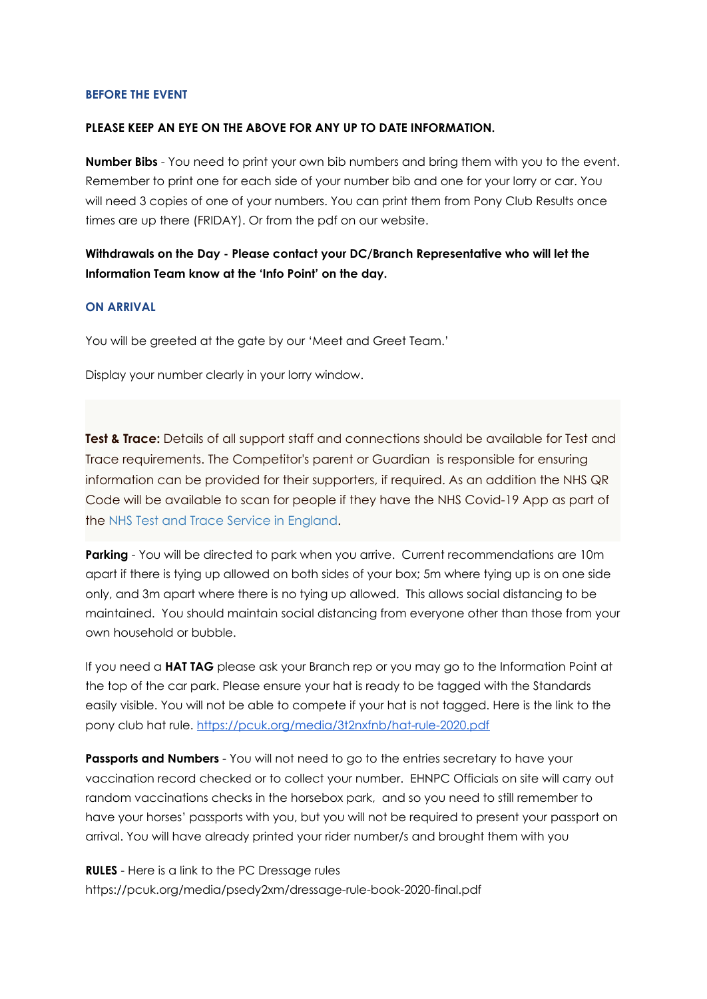#### **BEFORE THE EVENT**

#### **PLEASE KEEP AN EYE ON THE ABOVE FOR ANY UP TO DATE INFORMATION.**

**Number Bibs** - You need to print your own bib numbers and bring them with you to the event. Remember to print one for each side of your number bib and one for your lorry or car. You will need 3 copies of one of your numbers. You can print them from Pony Club Results once times are up there (FRIDAY). Or from the pdf on our website.

**Withdrawals on the Day - Please contact your DC/Branch Representative who will let the Information Team know at the 'Info Point' on the day.**

#### **ON ARRIVAL**

You will be greeted at the gate by our 'Meet and Greet Team.'

Display your number clearly in your lorry window.

**Test & Trace:** Details of all support staff and connections should be available for Test and Trace requirements. The Competitor's parent or Guardian is responsible for ensuring information can be provided for their supporters, if required. As an addition the NHS QR Code will be available to scan for people if they have the NHS Covid-19 App as part of the [NHS Test and Trace Service in England.](https://covid19.nhs.uk/)

**Parking** - You will be directed to park when you arrive. Current recommendations are 10m apart if there is tying up allowed on both sides of your box; 5m where tying up is on one side only, and 3m apart where there is no tying up allowed. This allows social distancing to be maintained. You should maintain social distancing from everyone other than those from your own household or bubble.

If you need a **HAT TAG** please ask your Branch rep or you may go to the Information Point at the top of the car park. Please ensure your hat is ready to be tagged with the Standards easily visible. You will not be able to compete if your hat is not tagged. Here is the link to the pony club hat rule. <https://pcuk.org/media/3t2nxfnb/hat-rule-2020.pdf>

**Passports and Numbers** - You will not need to go to the entries secretary to have your vaccination record checked or to collect your number. EHNPC Officials on site will carry out random vaccinations checks in the horsebox park, and so you need to still remember to have your horses' passports with you, but you will not be required to present your passport on arrival. You will have already printed your rider number/s and brought them with you

**RULES** - Here is a link to the PC Dressage rules https://pcuk.org/media/psedy2xm/dressage-rule-book-2020-final.pdf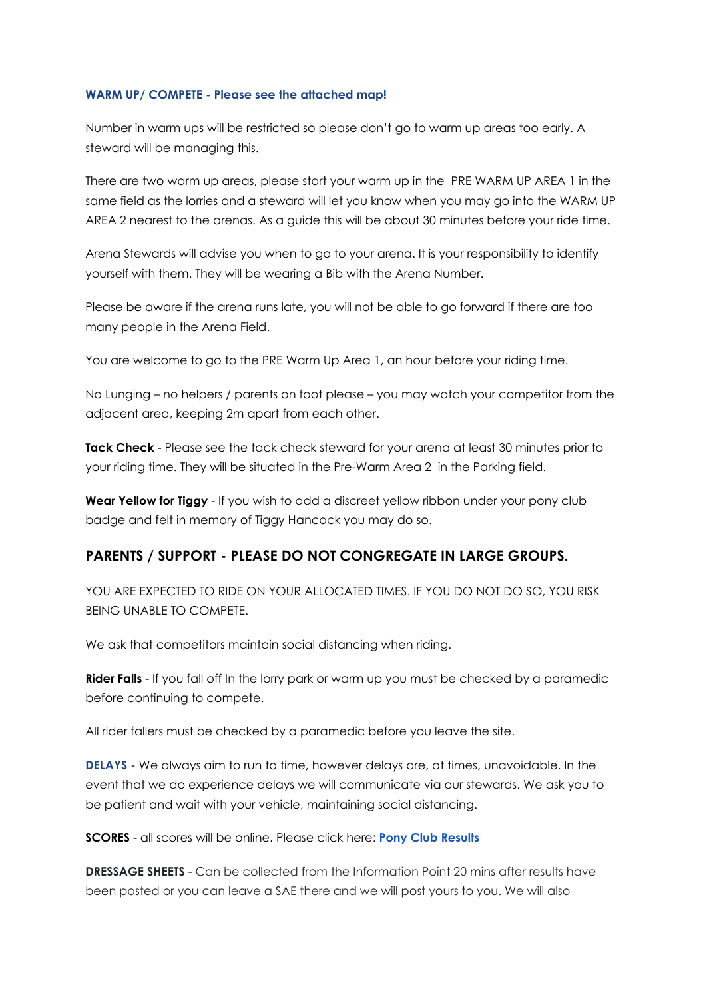#### **WARM UP/ COMPETE - Please see the attached map!**

Number in warm ups will be restricted so please don't go to warm up areas too early. A steward will be managing this.

There are two warm up areas, please start your warm up in the PRE WARM UP AREA 1 in the same field as the lorries and a steward will let you know when you may go into the WARM UP AREA 2 nearest to the arenas. As a guide this will be about 30 minutes before your ride time.

Arena Stewards will advise you when to go to your arena. It is your responsibility to identify yourself with them. They will be wearing a Bib with the Arena Number.

Please be aware if the arena runs late, you will not be able to go forward if there are too many people in the Arena Field.

You are welcome to go to the PRE Warm Up Area 1, an hour before your riding time.

No Lunging – no helpers / parents on foot please – you may watch your competitor from the adjacent area, keeping 2m apart from each other.

**Tack Check** - Please see the tack check steward for your arena at least 30 minutes prior to your riding time. They will be situated in the Pre-Warm Area 2 in the Parking field.

**Wear Yellow for Tiggy** - If you wish to add a discreet yellow ribbon under your pony club badge and felt in memory of Tiggy Hancock you may do so.

### **PARENTS / SUPPORT - PLEASE DO NOT CONGREGATE IN LARGE GROUPS.**

YOU ARE EXPECTED TO RIDE ON YOUR ALLOCATED TIMES. IF YOU DO NOT DO SO, YOU RISK BEING UNABLE TO COMPETE.

We ask that competitors maintain social distancing when riding.

**Rider Falls** - If you fall off In the lorry park or warm up you must be checked by a paramedic before continuing to compete.

All rider fallers must be checked by a paramedic before you leave the site.

**DELAYS -** We always aim to run to time, however delays are, at times, unavoidable. In the event that we do experience delays we will communicate via our stewards. We ask you to be patient and wait with your vehicle, maintaining social distancing.

**SCORES** - all scores will be online. Please click here: **Pony Club [Results](https://www.ponyclubresults.co.uk/Events/event.php?eventid=487)**

**DRESSAGE SHEETS** - Can be collected from the Information Point 20 mins after results have been posted or you can leave a SAE there and we will post yours to you. We will also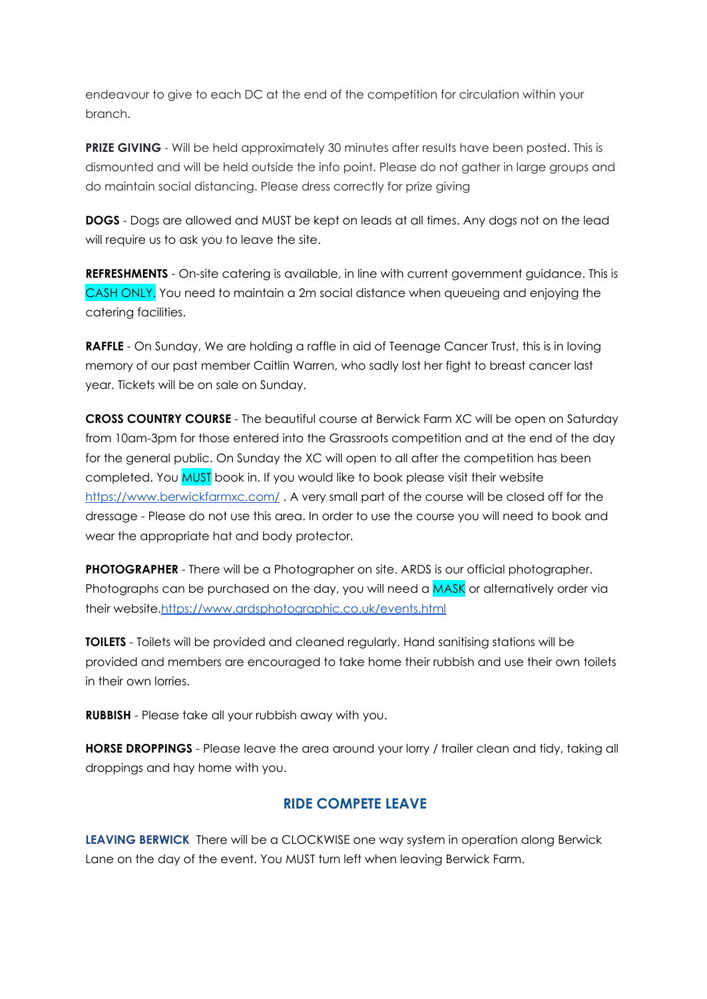endeavour to give to each DC at the end of the competition for circulation within your branch.

**PRIZE GIVING** - Will be held approximately 30 minutes after results have been posted. This is dismounted and will be held outside the info point. Please do not gather in large groups and do maintain social distancing. Please dress correctly for prize giving

**DOGS** - Dogs are allowed and MUST be kept on leads at all times. Any dogs not on the lead will require us to ask you to leave the site.

**REFRESHMENTS** - On-site catering is available, in line with current government guidance. This is CASH ONLY. You need to maintain a 2m social distance when queueing and enjoying the catering facilities.

**RAFFLE** - On Sunday, We are holding a raffle in aid of Teenage Cancer Trust, this is in loving memory of our past member Caitlin Warren, who sadly lost her fight to breast cancer last year. Tickets will be on sale on Sunday.

**CROSS COUNTRY COURSE** - The beautiful course at Berwick Farm XC will be open on Saturday from 10am-3pm for those entered into the Grassroots competition and at the end of the day for the general public. On Sunday the XC will open to all after the competition has been completed. You MUST book in. If you would like to book please visit their website <https://www.berwickfarmxc.com/> . A very small part of the course will be closed off for the dressage - Please do not use this area. In order to use the course you will need to book and wear the appropriate hat and body protector.

**PHOTOGRAPHER** - There will be a Photographer on site. ARDS is our official photographer. Photographs can be purchased on the day, you will need a MASK or alternatively order via their website.<https://www.ardsphotographic.co.uk/events.html>

**TOILETS** - Toilets will be provided and cleaned regularly. Hand sanitising stations will be provided and members are encouraged to take home their rubbish and use their own toilets in their own lorries.

**RUBBISH** - Please take all your rubbish away with you.

**HORSE DROPPINGS** - Please leave the area around your lorry / trailer clean and tidy, taking all droppings and hay home with you.

## **RIDE COMPETE LEAVE**

**LEAVING BERWICK** There will be a CLOCKWISE one way system in operation along Berwick Lane on the day of the event. You MUST turn left when leaving Berwick Farm.